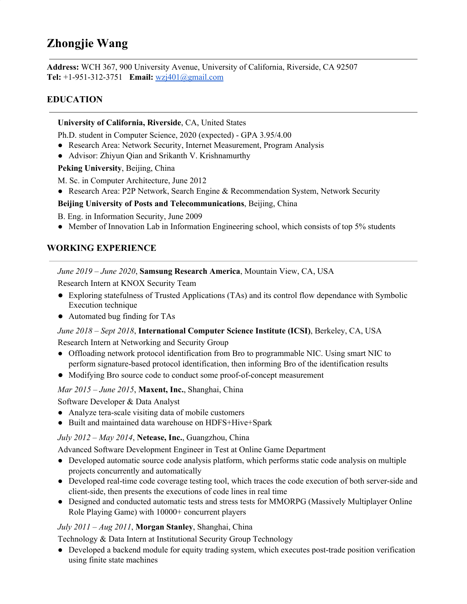# **Zhongjie Wang**

**Address:** WCH 367, 900 University Avenue, University of California, Riverside, CA 92507 **Tel:** +1-951-312-3751 **Email:** [wzj401@gmail.com](mailto:wzj401@gmail.com)

# **EDUCATION**

#### **University of California, Riverside**, CA, United States

Ph.D. student in Computer Science, 2020 (expected) - GPA 3.95/4.00

- Research Area: Network Security, Internet Measurement, Program Analysis
- Advisor: Zhiyun Qian and Srikanth V. Krishnamurthy

**Peking University**, Beijing, China

M. Sc. in Computer Architecture, June 2012

● Research Area: P2P Network, Search Engine & Recommendation System, Network Security

#### **Beijing University of Posts and Telecommunications**, Beijing, China

B. Eng. in Information Security, June 2009

• Member of Innovation Lab in Information Engineering school, which consists of top 5% students

# **WORKING EXPERIENCE**

#### *June 2019 – June 2020*, **Samsung Research America**, Mountain View, CA, USA

Research Intern at KNOX Security Team

- Exploring statefulness of Trusted Applications (TAs) and its control flow dependance with Symbolic Execution technique
- Automated bug finding for TAs

#### *June 2018 – Sept 2018*, **International Computer Science Institute (ICSI)**, Berkeley, CA, USA

Research Intern at Networking and Security Group

- **●** Offloading network protocol identification from Bro to programmable NIC. Using smart NIC to perform signature-based protocol identification, then informing Bro of the identification results
- Modifying Bro source code to conduct some proof-of-concept measurement

## *Mar 2015 – June 2015*, **Maxent, Inc.**, Shanghai, China

Software Developer & Data Analyst

- Analyze tera-scale visiting data of mobile customers
- **●** Built and maintained data warehouse on HDFS+Hive+Spark

## *July 2012 – May 2014*, **Netease, Inc.**, Guangzhou, China

Advanced Software Development Engineer in Test at Online Game Department

- Developed automatic source code analysis platform, which performs static code analysis on multiple projects concurrently and automatically
- Developed real-time code coverage testing tool, which traces the code execution of both server-side and client-side, then presents the executions of code lines in real time
- **●** Designed and conducted automatic tests and stress tests for MMORPG (Massively Multiplayer Online Role Playing Game) with 10000+ concurrent players

## *July 2011 – Aug 2011*, **Morgan Stanley**, Shanghai, China

Technology & Data Intern at Institutional Security Group Technology

**●** Developed a backend module for equity trading system, which executes post-trade position verification using finite state machines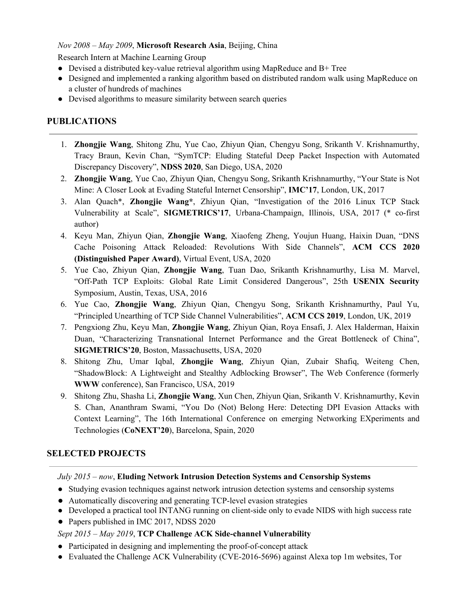## *Nov 2008 – May 2009*, **Microsoft Research Asia**, Beijing, China

Research Intern at Machine Learning Group

- Devised a distributed key-value retrieval algorithm using MapReduce and  $B+$  Tree
- Designed and implemented a ranking algorithm based on distributed random walk using MapReduce on a cluster of hundreds of machines
- *●* Devised algorithms to measure similarity between search queries

# **PUBLICATIONS**

- 1. **Zhongjie Wang**, Shitong Zhu, Yue Cao, Zhiyun Qian, Chengyu Song, Srikanth V. Krishnamurthy, Tracy Braun, Kevin Chan, "SymTCP: Eluding Stateful Deep Packet Inspection with Automated Discrepancy Discovery", **NDSS 2020**, San Diego, USA, 2020
- 2. **Zhongjie Wang**, Yue Cao, Zhiyun Qian, Chengyu Song, Srikanth Krishnamurthy, "Your State is Not Mine: A Closer Look at Evading Stateful Internet Censorship", **IMC'17**, London, UK, 2017
- 3. Alan Quach\*, **Zhongjie Wang\***, Zhiyun Qian, "Investigation of the 2016 Linux TCP Stack Vulnerability at Scale", **SIGMETRICS'17**, Urbana-Champaign, Illinois, USA, 2017 (\* co-first author)
- 4. Keyu Man, Zhiyun Qian, **Zhongjie Wang**, Xiaofeng Zheng, Youjun Huang, Haixin Duan, "DNS Cache Poisoning Attack Reloaded: Revolutions With Side Channels", **ACM CCS 2020 (Distinguished Paper Award)**, Virtual Event, USA, 2020
- 5. Yue Cao, Zhiyun Qian, **Zhongjie Wang**, Tuan Dao, Srikanth Krishnamurthy, Lisa M. Marvel, "Off-Path TCP Exploits: Global Rate Limit Considered Dangerous", 25th **USENIX Security** Symposium, Austin, Texas, USA, 2016
- 6. Yue Cao, **Zhongjie Wang**, Zhiyun Qian, Chengyu Song, Srikanth Krishnamurthy, Paul Yu, "Principled Unearthing of TCP Side Channel Vulnerabilities", **ACM CCS 2019**, London, UK, 2019
- 7. Pengxiong Zhu, Keyu Man, **Zhongjie Wang**, Zhiyun Qian, Roya Ensafi, J. Alex Halderman, Haixin Duan, "Characterizing Transnational Internet Performance and the Great Bottleneck of China", **SIGMETRICS'20**, Boston, Massachusetts, USA, 2020
- 8. Shitong Zhu, Umar Iqbal, **Zhongjie Wang**, Zhiyun Qian, Zubair Shafiq, Weiteng Chen, "ShadowBlock: A Lightweight and Stealthy Adblocking Browser", The Web Conference (formerly **WWW** conference), San Francisco, USA, 2019
- 9. Shitong Zhu, Shasha Li, **Zhongjie Wang**, Xun Chen, Zhiyun Qian, Srikanth V. Krishnamurthy, Kevin S. Chan, Ananthram Swami, "You Do (Not) Belong Here: Detecting DPI Evasion Attacks with Context Learning", The 16th International Conference on emerging Networking EXperiments and Technologies (**CoNEXT'20**), Barcelona, Spain, 2020

# **SELECTED PROJECTS**

*July 2015 – now*, **Eluding Network Intrusion Detection Systems and Censorship Systems**

- Studying evasion techniques against network intrusion detection systems and censorship systems
- Automatically discovering and generating TCP-level evasion strategies
- Developed a practical tool INTANG running on client-side only to evade NIDS with high success rate
- Papers published in IMC 2017, NDSS 2020

# *Sept 2015 – May 2019*, **TCP Challenge ACK Side-channel Vulnerability**

- Participated in designing and implementing the proof-of-concept attack
- Evaluated the Challenge ACK Vulnerability (CVE-2016-5696) against Alexa top 1m websites, Tor